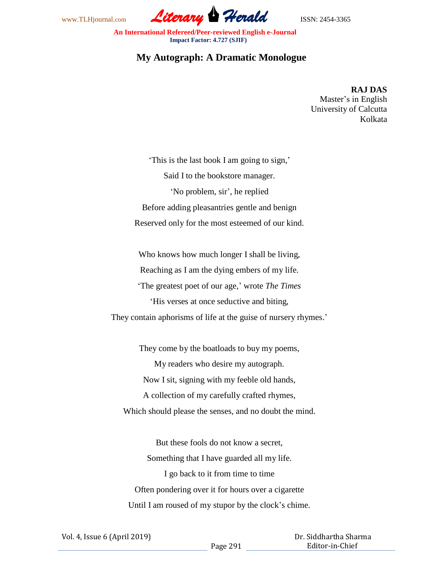

 **An International Refereed/Peer-reviewed English e-Journal Impact Factor: 4.727 (SJIF)**

## **My Autograph: A Dramatic Monologue**

**RAJ DAS** Master's in English University of Calcutta Kolkata

'This is the last book I am going to sign,' Said I to the bookstore manager. 'No problem, sir', he replied Before adding pleasantries gentle and benign Reserved only for the most esteemed of our kind.

Who knows how much longer I shall be living, Reaching as I am the dying embers of my life. 'The greatest poet of our age,' wrote *The Times*  'His verses at once seductive and biting, They contain aphorisms of life at the guise of nursery rhymes.'

They come by the boatloads to buy my poems, My readers who desire my autograph. Now I sit, signing with my feeble old hands, A collection of my carefully crafted rhymes, Which should please the senses, and no doubt the mind.

But these fools do not know a secret, Something that I have guarded all my life. I go back to it from time to time Often pondering over it for hours over a cigarette Until I am roused of my stupor by the clock's chime.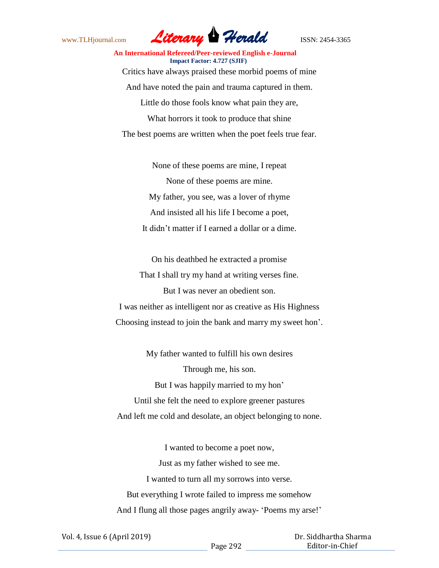

## **An International Refereed/Peer-reviewed English e-Journal Impact Factor: 4.727 (SJIF)** Critics have always praised these morbid poems of mine And have noted the pain and trauma captured in them. Little do those fools know what pain they are, What horrors it took to produce that shine

The best poems are written when the poet feels true fear.

None of these poems are mine, I repeat None of these poems are mine. My father, you see, was a lover of rhyme And insisted all his life I become a poet, It didn't matter if I earned a dollar or a dime.

On his deathbed he extracted a promise That I shall try my hand at writing verses fine. But I was never an obedient son. I was neither as intelligent nor as creative as His Highness Choosing instead to join the bank and marry my sweet hon'.

My father wanted to fulfill his own desires Through me, his son. But I was happily married to my hon' Until she felt the need to explore greener pastures And left me cold and desolate, an object belonging to none.

I wanted to become a poet now, Just as my father wished to see me. I wanted to turn all my sorrows into verse. But everything I wrote failed to impress me somehow And I flung all those pages angrily away- 'Poems my arse!'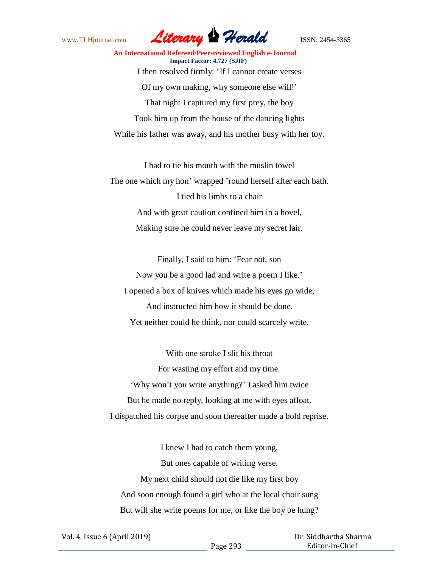

 **An International Refereed/Peer-reviewed English e-Journal Impact Factor: 4.727 (SJIF)** I then resolved firmly: 'If I cannot create verses Of my own making, why someone else will!' That night I captured my first prey, the boy Took him up from the house of the dancing lights While his father was away, and his mother busy with her toy.

I had to tie his mouth with the muslin towel The one which my hon' wrapped 'round herself after each bath. I tied his limbs to a chair And with great caution confined him in a hovel, Making sure he could never leave my secret lair.

Finally, I said to him: 'Fear not, son Now you be a good lad and write a poem I like.' I opened a box of knives which made his eyes go wide, And instructed him how it should be done. Yet neither could he think, nor could scarcely write.

With one stroke I slit his throat For wasting my effort and my time. 'Why won't you write anything?' I asked him twice But he made no reply, looking at me with eyes afloat. I dispatched his corpse and soon thereafter made a bold reprise.

I knew I had to catch them young, But ones capable of writing verse. My next child should not die like my first boy And soon enough found a girl who at the local choir sung But will she write poems for me, or like the boy be hung?